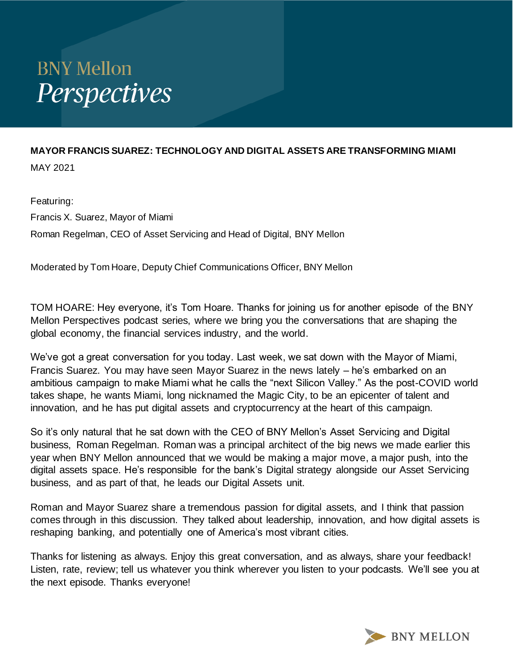## **BNY Mellon** Perspectives

## **MAYOR FRANCIS SUAREZ: TECHNOLOGY AND DIGITAL ASSETS ARE TRANSFORMING MIAMI** MAY 2021

Featuring: Francis X. Suarez, Mayor of Miami Roman Regelman, CEO of Asset Servicing and Head of Digital, BNY Mellon

Moderated by Tom Hoare, Deputy Chief Communications Officer, BNY Mellon

TOM HOARE: Hey everyone, it's Tom Hoare. Thanks for joining us for another episode of the BNY Mellon Perspectives podcast series, where we bring you the conversations that are shaping the global economy, the financial services industry, and the world.

We've got a great conversation for you today. Last week, we sat down with the Mayor of Miami, Francis Suarez. You may have seen Mayor Suarez in the news lately – he's embarked on an ambitious campaign to make Miami what he calls the "next Silicon Valley." As the post-COVID world takes shape, he wants Miami, long nicknamed the Magic City, to be an epicenter of talent and innovation, and he has put digital assets and cryptocurrency at the heart of this campaign.

So it's only natural that he sat down with the CEO of BNY Mellon's Asset Servicing and Digital business, Roman Regelman. Roman was a principal architect of the big news we made earlier this year when BNY Mellon announced that we would be making a major move, a major push, into the digital assets space. He's responsible for the bank's Digital strategy alongside our Asset Servicing business, and as part of that, he leads our Digital Assets unit.

Roman and Mayor Suarez share a tremendous passion for digital assets, and I think that passion comes through in this discussion. They talked about leadership, innovation, and how digital assets is reshaping banking, and potentially one of America's most vibrant cities.

Thanks for listening as always. Enjoy this great conversation, and as always, share your feedback! Listen, rate, review; tell us whatever you think wherever you listen to your podcasts. We'll see you at the next episode. Thanks everyone!

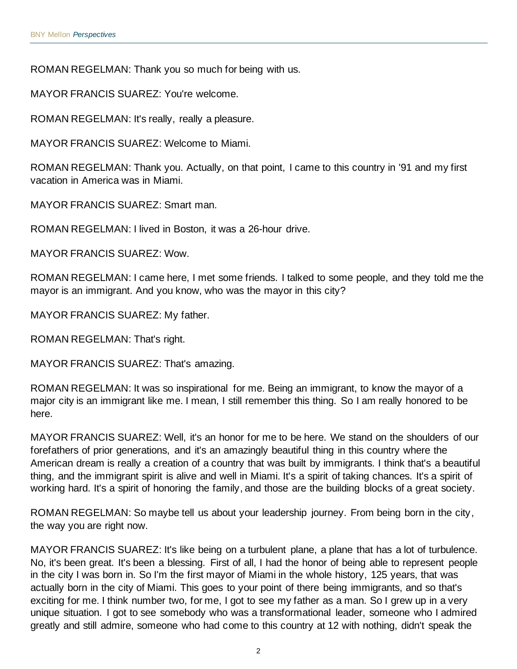ROMAN REGELMAN: Thank you so much for being with us.

MAYOR FRANCIS SUAREZ: You're welcome.

ROMAN REGELMAN: It's really, really a pleasure.

MAYOR FRANCIS SUAREZ: Welcome to Miami.

ROMAN REGELMAN: Thank you. Actually, on that point, I came to this country in '91 and my first vacation in America was in Miami.

MAYOR FRANCIS SUAREZ: Smart man.

ROMAN REGELMAN: I lived in Boston, it was a 26-hour drive.

MAYOR FRANCIS SUAREZ: Wow.

ROMAN REGELMAN: I came here, I met some friends. I talked to some people, and they told me the mayor is an immigrant. And you know, who was the mayor in this city?

MAYOR FRANCIS SUAREZ: My father.

ROMAN REGELMAN: That's right.

MAYOR FRANCIS SUAREZ: That's amazing.

ROMAN REGELMAN: It was so inspirational for me. Being an immigrant, to know the mayor of a major city is an immigrant like me. I mean, I still remember this thing. So I am really honored to be here.

MAYOR FRANCIS SUAREZ: Well, it's an honor for me to be here. We stand on the shoulders of our forefathers of prior generations, and it's an amazingly beautiful thing in this country where the American dream is really a creation of a country that was built by immigrants. I think that's a beautiful thing, and the immigrant spirit is alive and well in Miami. It's a spirit of taking chances. It's a spirit of working hard. It's a spirit of honoring the family, and those are the building blocks of a great society.

ROMAN REGELMAN: So maybe tell us about your leadership journey. From being born in the city, the way you are right now.

MAYOR FRANCIS SUAREZ: It's like being on a turbulent plane, a plane that has a lot of turbulence. No, it's been great. It's been a blessing. First of all, I had the honor of being able to represent people in the city I was born in. So I'm the first mayor of Miami in the whole history, 125 years, that was actually born in the city of Miami. This goes to your point of there being immigrants, and so that's exciting for me. I think number two, for me, I got to see my father as a man. So I grew up in a very unique situation. I got to see somebody who was a transformational leader, someone who I admired greatly and still admire, someone who had come to this country at 12 with nothing, didn't speak the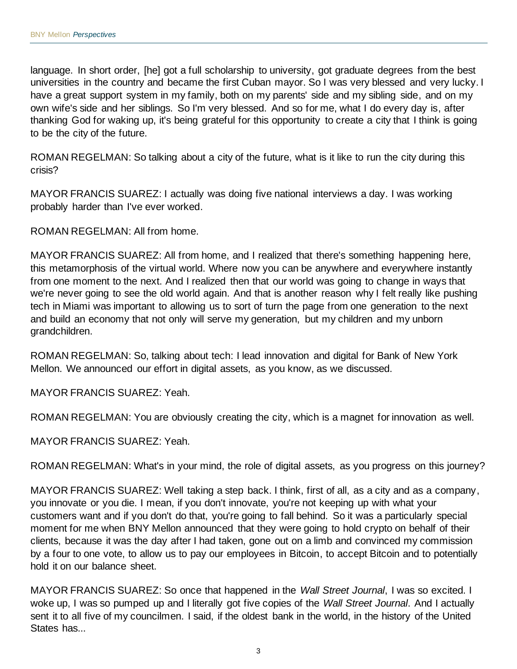language. In short order, [he] got a full scholarship to university, got graduate degrees from the best universities in the country and became the first Cuban mayor. So I was very blessed and very lucky. I have a great support system in my family, both on my parents' side and my sibling side, and on my own wife's side and her siblings. So I'm very blessed. And so for me, what I do every day is, after thanking God for waking up, it's being grateful for this opportunity to create a city that I think is going to be the city of the future.

ROMAN REGELMAN: So talking about a city of the future, what is it like to run the city during this crisis?

MAYOR FRANCIS SUAREZ: I actually was doing five national interviews a day. I was working probably harder than I've ever worked.

ROMAN REGELMAN: All from home.

MAYOR FRANCIS SUAREZ: All from home, and I realized that there's something happening here, this metamorphosis of the virtual world. Where now you can be anywhere and everywhere instantly from one moment to the next. And I realized then that our world was going to change in ways that we're never going to see the old world again. And that is another reason why I felt really like pushing tech in Miami was important to allowing us to sort of turn the page from one generation to the next and build an economy that not only will serve my generation, but my children and my unborn grandchildren.

ROMAN REGELMAN: So, talking about tech: I lead innovation and digital for Bank of New York Mellon. We announced our effort in digital assets, as you know, as we discussed.

MAYOR FRANCIS SUAREZ: Yeah.

ROMAN REGELMAN: You are obviously creating the city, which is a magnet for innovation as well.

MAYOR FRANCIS SUAREZ: Yeah.

ROMAN REGELMAN: What's in your mind, the role of digital assets, as you progress on this journey?

MAYOR FRANCIS SUAREZ: Well taking a step back. I think, first of all, as a city and as a company, you innovate or you die. I mean, if you don't innovate, you're not keeping up with what your customers want and if you don't do that, you're going to fall behind. So it was a particularly special moment for me when BNY Mellon announced that they were going to hold crypto on behalf of their clients, because it was the day after I had taken, gone out on a limb and convinced my commission by a four to one vote, to allow us to pay our employees in Bitcoin, to accept Bitcoin and to potentially hold it on our balance sheet.

MAYOR FRANCIS SUAREZ: So once that happened in the *Wall Street Journal*, I was so excited. I woke up, I was so pumped up and I literally got five copies of the *Wall Street Journal*. And I actually sent it to all five of my councilmen. I said, if the oldest bank in the world, in the history of the United States has...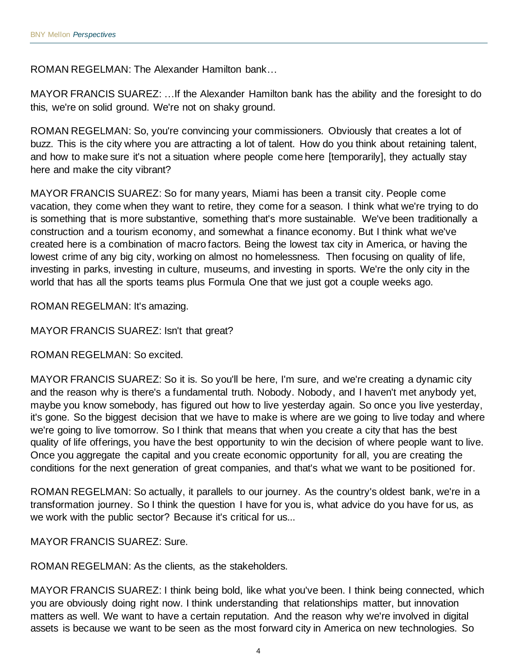ROMAN REGELMAN: The Alexander Hamilton bank…

MAYOR FRANCIS SUAREZ: …If the Alexander Hamilton bank has the ability and the foresight to do this, we're on solid ground. We're not on shaky ground.

ROMAN REGELMAN: So, you're convincing your commissioners. Obviously that creates a lot of buzz. This is the city where you are attracting a lot of talent. How do you think about retaining talent, and how to make sure it's not a situation where people come here [temporarily], they actually stay here and make the city vibrant?

MAYOR FRANCIS SUAREZ: So for many years, Miami has been a transit city. People come vacation, they come when they want to retire, they come for a season. I think what we're trying to do is something that is more substantive, something that's more sustainable. We've been traditionally a construction and a tourism economy, and somewhat a finance economy. But I think what we've created here is a combination of macro factors. Being the lowest tax city in America, or having the lowest crime of any big city, working on almost no homelessness. Then focusing on quality of life, investing in parks, investing in culture, museums, and investing in sports. We're the only city in the world that has all the sports teams plus Formula One that we just got a couple weeks ago.

ROMAN REGELMAN: It's amazing.

MAYOR FRANCIS SUAREZ: Isn't that great?

ROMAN REGELMAN: So excited.

MAYOR FRANCIS SUAREZ: So it is. So you'll be here, I'm sure, and we're creating a dynamic city and the reason why is there's a fundamental truth. Nobody. Nobody, and I haven't met anybody yet, maybe you know somebody, has figured out how to live yesterday again. So once you live yesterday, it's gone. So the biggest decision that we have to make is where are we going to live today and where we're going to live tomorrow. So I think that means that when you create a city that has the best quality of life offerings, you have the best opportunity to win the decision of where people want to live. Once you aggregate the capital and you create economic opportunity for all, you are creating the conditions for the next generation of great companies, and that's what we want to be positioned for.

ROMAN REGELMAN: So actually, it parallels to our journey. As the country's oldest bank, we're in a transformation journey. So I think the question I have for you is, what advice do you have for us, as we work with the public sector? Because it's critical for us...

MAYOR FRANCIS SUAREZ: Sure.

ROMAN REGELMAN: As the clients, as the stakeholders.

MAYOR FRANCIS SUAREZ: I think being bold, like what you've been. I think being connected, which you are obviously doing right now. I think understanding that relationships matter, but innovation matters as well. We want to have a certain reputation. And the reason why we're involved in digital assets is because we want to be seen as the most forward city in America on new technologies. So